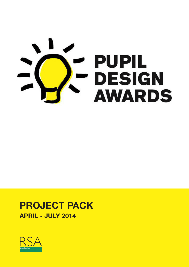

## **PROJECT PACK APRIL - JULY 2014**

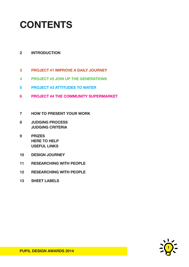## **CONTENTS**

## **2 INTRODUCTION**

- **3 PROJECT #1 IMPROVE A DAILY JOURNEY**
- **4 PROJECT #2 JOIN UP THE GENERATIONS**
- **5 PROJECT #3 ATTITUDES TO WATER**
- **6 PROJECT #4 THE COMMUNITY SUPERMARKET**
- **7 HOW TO PRESENT YOUR WORK**
- **8 JUDGING PROCESS JUDGING CRITERIA**
- **9 PRIZES HERE TO HELP USEFUL LINKS**
- **10 DESIGN JOURNEY**
- **11 RESEARCHING WITH PEOPLE**
- **12 RESEARCHING WITH PEOPLE**
- **13 SHEET LABELS**

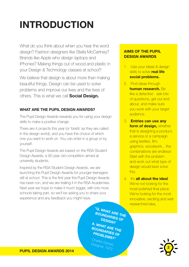# **INTRODUCTION**

What do you think about when you hear the word design? Fashion designers like Stella McCartney? Brands like Apple who design laptops and iPhones? Making things out of wood and plastic in your Design & Technology classes at school?

We believe that design is about more than making beautiful things. Design can be used to solve problems and improve our lives and the lives of others. This is what we call **Social Design.**

## **WHAT ARE THE PUPIL DESIGN AWARDS?**

The Pupil Design Awards rewards you for using your design skills to make a positive change.

There are 4 projects this year (or 'briefs' as they are called in the design world), and you have the choice of which one you want to work on. You can enter in a group or by yourself.

The Pupil Design Awards are based on the RSA Student Design Awards, a 90 year old competition aimed at university students.

Inspired by the RSA Student Design Awards, we are launching the Pupil Design Awards for younger teenagers still at school. This is the first year the Pupil Design Awards has been run, and we are trialling it in the RSA Academies. Next year we hope to make it much bigger, with lots more schools taking part, so we'll be asking you to share your experience and any feedback you might have.

> **"Q. WHAT ARE THE BOUNDARIES OF DESIGN? A. WHAT ARE THE BOUNDARIES OF PROBLEMS?"**

Charles Eames Designer, 1972

## **AIMS OF THE PUPIL DESIGN AWARDS**

- 1. Use your ideas & design skills to solve **real life social problems.**
- 2. Find ideas through **human research.** Be like a detective - ask lots of questions, get out and about, and make sure you work with your target audience.
- 3. **Entries can use any form of design,** whether that is designing a product. a service or a campaign using textiles, film, graphics, woodwork... the combinations are endless! Start with the problem and work out what type of design would best solve this.
- 4. It's **all about the idea!**  We're not looking for the most polished final piece. We're looking for the most innovative, exciting and well researched idea.

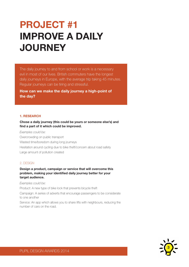## **PROJECT #1 IMPROVE A DAILY JOURNEY**

The daily journey to and from school or work is a necessary evil in most of our lives. British commuters have the longest daily journeys in Europe, with the average trip taking 45 minutes. Regular journeys can be tiring and stressful.

**How can we make the daily journey a high-point of the day?**

#### **1. RESEARCH**

#### **Chose a daily journey (this could be yours or someone else's) and find a part of it which could be improved.**

#### *Examples could be:*

Overcrowding on public transport Wasted time/boredom during long journeys Hesitation around cycling due to bike theft/concern about road safety Large amount of pollution created

#### 2. DESIGN

#### **Design a product, campaign or service that will overcome this problem, making your identified daily journey better for your target audience.**

*Examples could be:*

Product: A new type of bike lock that prevents bicycle theft

Campaign: A series of adverts that encourage passengers to be considerate to one another

Service: An app which allows you to share lifts with neighbours, reducing the number of cars on the road.

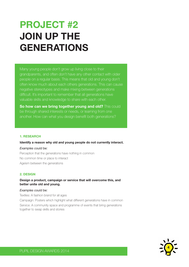## **PROJECT #2 JOIN UP THE GENERATIONS**

Many young people don't grow up living close to their grandparents, and often don't have any other contact with older people on a regular basis. This means that old and young don't often know much about each others generations. This can cause negative stereotypes and make mixing between generations difficult. It's important to remember that all generations have valuable skills and knowledge to share with each other.

**So how can we bring together young and old?** This could be through shared interests or needs, or learning from one another. How can what you design benefit both generations?

#### **1. RESEARCH**

#### **Identify a reason why old and young people do not currently interact.**

#### *Examples could be:*

Perception that the generations have nothing in common No common time or place to interact Ageism between the generations

#### **2. DESIGN**

#### **Design a product, campaign or service that will overcome this, and better unite old and young.**

#### *Examples could be:*

Textiles: A fashion brand for all ages

Campaign: Posters which highlight what different generations have in common Service: A community space and programme of events that bring generations together to swap skills and stories

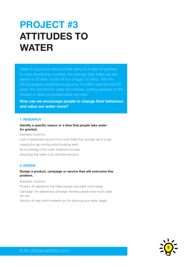## **PROJECT #3 ATTITUDES TO WATER**

Water is a precious resource that many of us take for granted. In many developing countries, the average daily water use per person is 20 litres. In the UK it is a huge 153 litres. With the UK's population predicted to grow by 10 million over the next 20 years, the demand for water will increase, putting pressure on the amount of clean processed water we have.

**How can we encourage people to change their behaviour and value our water more?**

#### **1. RESEARCH**

#### **Identify a specific reason or a time that people take water for granted.**

*Examples could be:* Lack of awareness around how much water they actually use in a day Leaving the tap running whilst brushing teeth No knowledge of the water treatment process Assuming that water is an unlimited resource

#### **2. DESIGN**

### **Design a product, campaign or service that will overcome this problem.**

#### *Examples could be:*

Product: An appliance that helps people use water more wisely

Campaign: An awareness campaign showing people how much water we use

Service: An app which rewards you for reducing your water usage

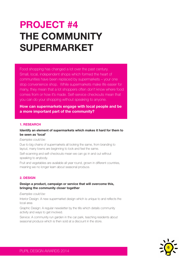## **PROJECT #4 THE COMMUNITY SUPERMARKET**

Food shopping has changed a lot over the past century. Small, local, independent shops which formed the heart of communities have been replaced by supermarkets – your one stop convenience shop. While supermarkets make life easier for many, they mean that a lot shoppers often don't know where food comes from or how it's made. Self-service checkouts mean that you can do your shopping without speaking to anyone.

**How can supermarkets engage with local people and be a more important part of the community?**

#### **1. RESEARCH**

#### **Identify an element of supermarkets which makes it hard for them to be seen as 'local'**

#### *Examples could be:*

Due to big chains of supermarkets all looking the same, from branding to layout, many towns are beginning to look and feel the same.

Self-scanning and self-checkouts mean we can go in and out without speaking to anybody.

Fruit and vegetables are available all year round, grown in different countries, meaning we no longer learn about seasonal produce.

#### **2. DESIGN**

#### **Design a product, campaign or service that will overcome this, bringing the community closer together**

*Examples could be:*

Interior Design: A new supermarket design which is unique to and reflects the local area

Graphic Design: A regular newsletter by the tills which details community activity and ways to get involved.

Service: A community run garden in the car park, teaching residents about seasonal produce which is then sold at a discount in the store.

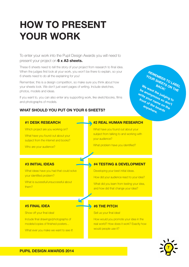## **HOW TO PRESENT YOUR WORK**

To enter your work into the Pupil Design Awards you will need to present your project on **6 x A3 sheets.**

These 6 sheets need to tell the story of your project from research to final idea. When the judges first look at your work, you won't be there to explain, so your 6 sheets need to do all the explaining for you!

Remember, this is a design competition, so make sure you think about how your sheets look. We don't just want pages of writing. Include sketches, photos, models and ideas.

If you want to, you can also enter any supporting work, like sketchbooks, films and photographs of models.

## **WHAT SHOULD YOU PUT ON YOUR 6 SHEETS?**



#### **#1 DESK RESEARCH**

Which project are you working on?

What have you found out about your subject from the internet and books?

Who are your audience?

## **#2 REAL HUMAN RESEARCH**

What have you found out about your subject from talking to and working with your audience?

What problem have you identified?

### **#3 INITIAL IDEAS**

What ideas have you had that could solve your identified problem?

What is sucessful/unsuccessful about them?

### **#4 TESTING & DEVELOPMENT**

Developing your best initial ideas.

How did your audience react to your idea?

What did you learn from testing your idea, and how did that change your idea?

### **#6 THE PITCH**

Sell us your final idea!

How would you promote your idea in the real world? How does it work? Exactly how would people use it?



## **#5 FINAL IDEA** Show off your final idea!

Include final drawings/photographs of models/copies of finished posters...

What ever you make we want to see it!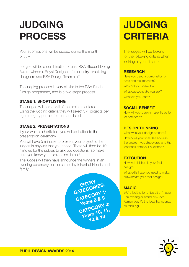## **JUDGING PROCESS**

Your submissions will be judged during the month of July.

Judges will be a combination of past RSA Student Design Award winners, Royal Designers for Industry, practising designers and RSA Design Team staff.

The judging process is very similar to the RSA Student Design programme, and is a two stage process.

## **STAGE 1: SHORTLISTING**

The judges will look at **all** of the projects entered. Using the judging criteria they will select 3-4 projects per age category per brief to be shortlisted.

## **STAGE 2: PRESENTATIONS**

If your work is shortlisted, you will be invited to the presentation ceremony.

You will have 5 minutes to present your project to the judges in anyway that you chose. There will then be 10 minutes for the judges to ask you questions, so make sure you know your project inside out!

The judges will then have announce the winners in an evening ceremony on the same day infront of friends and family.

> **ENTRY CATEGORIES:** CATEGORY 1: **Years 8 & 9 CATEGORY 2: Years 10, 11, 12 & 13**

## **JUDGING CRITERIA**

The judges will be looking for the following criteria when looking at your 6 sheets:

### **RESEARCH**

Have you used a combination of desk and real research? Who did you speak to? What questions did you ask? What did you learn?

## **SOCIAL BENEFIT**

How will your design make life better for someone?

## **DESIGN THINKING**

What was your design process? How does your final idea address the problem you discovered and the feedback from your audience?

## **EXECUTION**

How well finished is your final design? What skills have you used to make/ draw/create your final design?

## **MAGIC!**

We're looking for a little bit of 'magic' - an exciting or brand new idea! Remember, it's the idea that counts, so think big!

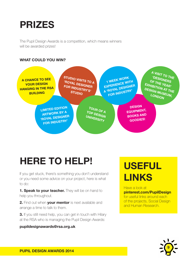## **PRIZES**

The Pupil Design Awards is a competition, which means winners will be awarded prizes!

## **WHAT COULD YOU WIN?**



## **HERE TO HELP!**

If you get stuck, there's something you don't understand or you need some advice on your project, here is what to do:

**1. Speak to your teacher.** They will be on hand to help you throughout.

**2.** Find out when **your mentor** is next available and arrange a time to talk to them.

**3.** If you still need help, you can get in touch with Hilary at the RSA who is managing the Pupil Design Awards:

**pupildesignawards@rsa.org.uk**

## **USEFUL LINKS**

Have a look at **pinterest.com/PupilDesign** for useful links around each

of the projects, Social Design and Human Research.



**PUPIL DESIGN AWARDS 2014**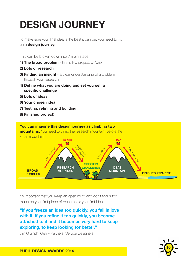# **DESIGN JOURNEY**

To make sure your final idea is the best it can be, you need to go on a **design journey.**

This can be broken down into 7 main steps:

- **1) The broad problem** this is the project, or 'brief'.
- **2) Lots of research**
- **3) Finding an insight** a clear understanding of a problem through your research
- **4) Define what you are doing and set yourself a specific challenge**
- **5) Lots of ideas**
- **6) Your chosen idea**
- **7) Testing, refining and building** esting, refining and building
- **8) Finished project!**



It's important that you keep an open mind and don't focus too much on your first piece of research or your first idea.

#### **"If you freeze an idea too quickly, you fall in love ARE NERVOUS with it. If you refine it too quickly, you become DUE TO BIKE THEFT THEM OF THEIR BIKES SAFETY** attached to it and it becomes very hard to keep **exploring, to keep looking for better." Rued roo CONNECTS TO THE USERS SMART PHONE TO REAL PROPERTY**  $\frac{L}{L}$  **to ke**<br>Gehry F

Jim Glymph, Gehry Partners (Service Designers) **REDUCE BIKE**  , Duaigi iui a*j* 



**PUPIL DESIGN AWARDS 2014**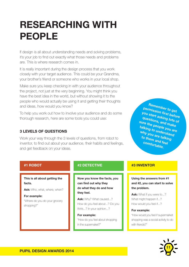## **RESEARCHING WITH PEOPLE**

If design is all about understanding needs and solving problems, it's your job to find out exactly what those needs and problems are. This is where research comes in.

It is really important during the design process that you work closely with your target audience. This could be your Grandma, your brother's friend or someone who works in your local shop.

Make sure you keep checking in with your audience throughout the project, not just at the very beginning. You might think you have the best idea in the world, but without showing it to the people who would actually be using it and getting their thoughts and ideas, how would you know?

To help you work out how to involve your audience and do some thorough research, here are some tools you could use:

## **3 LEVELS OF QUESTIONS**

Work your way through the 3 levels of questions, from robot to inventor, to find out about your audience, their habits and feelings, and get feedback on your ideas.

**Remember to get permission first before you start asking lots of questions, and make sure the people you are talking to understand why you are talking to them and feel comfortable.**

## **#1 ROBOT**

**This is all about getting the facts.**

**Ask:** Who, what, where, when?

**For example:** "Where do you do your grocery shopping?"

## **#2 DETECTIVE**

**Now you know the facts, you can find out why they do what they do and how they feel.**

**Ask:** Why? What caused...? How do you feel about...? Do you think...? In your opinion...?

**For example:** "How do you feel about shopping in the supermaket?"

## **#3 INVENTOR**

**Using the answers from #1 and #2, you can start to solve the problem.**

Ask: What if you were to...? What might happen if...? How would you feel if...?

#### **For example:**

"How would you feel if supermarket shopping was a social activity to do with friends?"

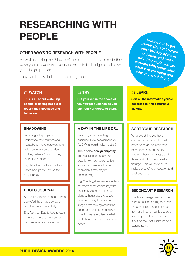## **RESEARCHING WITH PEOPLE**

## **OTHER WAYS TO RESEARCH WITH PEOPLE**

As well as asking the 3 levels of questions, there are lots of other ways you can work with your audience to find insights and solve your design problem.

They can be divided into three categories:

### **#1 WATCH**

**This is all about watching people or asking people to record their activities and behaviour.**

### **SHADOWING**

Tag along with people to understand their routines and interactions. Make sure you take notes on what you see. How do they behave? How do they interact with others?

E.g. Take the bus to school and watch how people act on their daily journey.

## **PHOTO JOURNAL**

Ask your audience to keep a photo diary of all the things they do or see during a time or activity.

E.g. Ask your Dad to take photos of his commute to work so you can see what is important to him.

### **#2 TRY**

**Put yourself in the shoes of your target audience so you can really understand them.**

## **A DAY IN THE LIFE OF...**

Pretend you are your target audience. How does it make you feel? What could make it better?

This is called **design empathy**. You are trying to understand exactly how your audience feel so you can design solutions to problems they may be encountering.

E.g. Your target audience is elderly members of the community who are lonely. Spend an afternoon alone without speaking to your friends or using the computer. Imagine that moving around the house is difficult. Keep a diary of how this made you feel or what could have made your experience better.

**Remember to get permission first before you start any of these activities, and make sure the people you are working with understand what you are doing and why you are doing it.**

### **#3 LEARN**

**Sort all the information you've collected to find patterns & insights.**

## **SORT YOUR RESEARCH**

Write everything you have discovered on separate post-it notes or cards. You can then move them around and try and sort them into groups and themes. Are there any similar findings? This will help you to make sense of your research and spot any patterns.

### **SECONDARY RESEARCH**

Use books, magazines and the internet to find exisiting research or examples of projects to learn from and inspire you. Make sure you keep a note of who's work it is. Use the useful links list as a starting point.